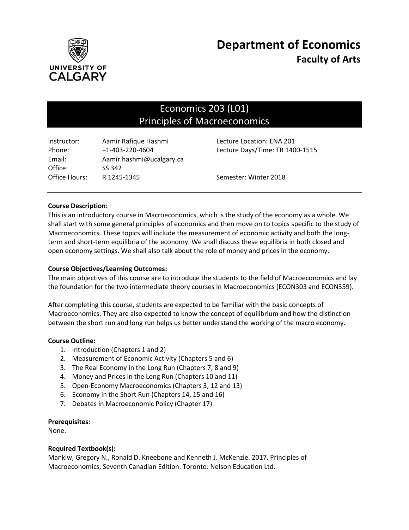

# Economics 203 (L01) Principles of Macroeconomics

| Instructor:   | Aamir Rafique Hashmi     | Lecture Location: ENA 201       |
|---------------|--------------------------|---------------------------------|
| Phone:        | +1-403-220-4604          | Lecture Days/Time: TR 1400-1515 |
| Email:        | Aamir.hashmi@ucalgary.ca |                                 |
| Office:       | SS 342                   |                                 |
| Office Hours: | R 1245-1345              | Semester: Winter 2018           |

# **Course Description:**

This is an introductory course in Macroeconomics, which is the study of the economy as a whole. We shall start with some general principles of economics and then move on to topics specific to the study of Macroeconomics. These topics will include the measurement of economic activity and both the longterm and short-term equilibria of the economy. We shall discuss these equilibria in both closed and open economy settings. We shall also talk about the role of money and prices in the economy.

# **Course Objectives/Learning Outcomes:**

The main objectives of this course are to introduce the students to the field of Macroeconomics and lay the foundation for the two intermediate theory courses in Macroeconomics (ECON303 and ECON359).

After completing this course, students are expected to be familiar with the basic concepts of Macroeconomics. They are also expected to know the concept of equilibrium and how the distinction between the short run and long run helps us better understand the working of the macro economy.

## **Course Outline:**

- 1. Introduction (Chapters 1 and 2)
- 2. Measurement of Economic Activity (Chapters 5 and 6)
- 3. The Real Economy in the Long Run (Chapters 7, 8 and 9)
- 4. Money and Prices in the Long Run (Chapters 10 and 11)
- 5. Open-Economy Macroeconomics (Chapters 3, 12 and 13)
- 6. Economy in the Short Run (Chapters 14, 15 and 16)
- 7. Debates in Macroeconomic Policy (Chapter 17)

## **Prerequisites:**

None.

## **Required Textbook(s):**

Mankiw, Gregory N., Ronald D. Kneebone and Kenneth J. McKenzie. 2017. Principles of Macroeconomics, Seventh Canadian Edition. Toronto: Nelson Education Ltd.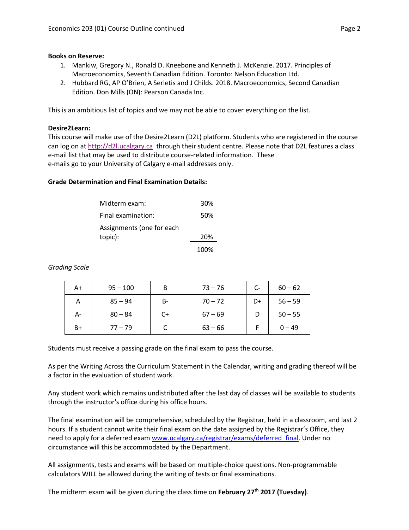#### **Books on Reserve:**

- 1. Mankiw, Gregory N., Ronald D. Kneebone and Kenneth J. McKenzie. 2017. Principles of Macroeconomics, Seventh Canadian Edition. Toronto: Nelson Education Ltd.
- 2. Hubbard RG, AP O'Brien, A Serletis and J Childs. 2018. Macroeconomics, Second Canadian Edition. Don Mills (ON): Pearson Canada Inc.

This is an ambitious list of topics and we may not be able to cover everything on the list.

#### **Desire2Learn:**

This course will make use of the Desire2Learn (D2L) platform. Students who are registered in the course can log on a[t http://d2l.ucalgary.ca](http://d2l.ucalgary.ca/) through their student centre. Please note that D2L features a class e-mail list that may be used to distribute course-related information. These e-mails go to your University of Calgary e-mail addresses only.

#### **Grade Determination and Final Examination Details:**

| Midterm exam:             | 30%  |
|---------------------------|------|
| Final examination:        | 50%  |
| Assignments (one for each |      |
| topic):                   | 20%  |
|                           | 100% |

*Grading Scale*

| A+   | $95 - 100$ | B  | $73 - 76$ | C- | $60 - 62$ |
|------|------------|----|-----------|----|-----------|
| А    | $85 - 94$  | B- | $70 - 72$ | D+ | $56 - 59$ |
| А-   | $80 - 84$  | C+ | $67 - 69$ |    | $50 - 55$ |
| $B+$ | $77 - 79$  |    | $63 - 66$ |    | $0 - 49$  |

Students must receive a passing grade on the final exam to pass the course.

As per the Writing Across the Curriculum Statement in the Calendar, writing and grading thereof will be a factor in the evaluation of student work.

Any student work which remains undistributed after the last day of classes will be available to students through the instructor's office during his office hours.

The final examination will be comprehensive, scheduled by the Registrar, held in a classroom, and last 2 hours. If a student cannot write their final exam on the date assigned by the Registrar's Office, they need to apply for a deferred exam [www.ucalgary.ca/registrar/exams/deferred\\_final.](http://www.ucalgary.ca/registrar/exams/deferred_final) Under no circumstance will this be accommodated by the Department.

All assignments, tests and exams will be based on multiple-choice questions. Non-programmable calculators WILL be allowed during the writing of tests or final examinations.

The midterm exam will be given during the class time on **February 27th 2017 (Tuesday)**.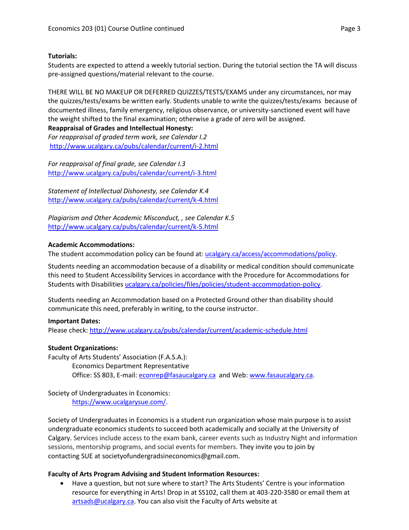# **Tutorials:**

Students are expected to attend a weekly tutorial section. During the tutorial section the TA will discuss pre-assigned questions/material relevant to the course.

THERE WILL BE NO MAKEUP OR DEFERRED QUIZZES/TESTS/EXAMS under any circumstances, nor may the quizzes/tests/exams be written early. Students unable to write the quizzes/tests/exams because of documented illness, family emergency, religious observance, or university-sanctioned event will have the weight shifted to the final examination; otherwise a grade of zero will be assigned.

**Reappraisal of Grades and Intellectual Honesty:** *For reappraisal of graded term work, see Calendar I.2* <http://www.ucalgary.ca/pubs/calendar/current/i-2.html>

*For reappraisal of final grade, see Calendar I.3* <http://www.ucalgary.ca/pubs/calendar/current/i-3.html>

*Statement of Intellectual Dishonesty, see Calendar K.4* <http://www.ucalgary.ca/pubs/calendar/current/k-4.html>

*Plagiarism and Other Academic Misconduct, , see Calendar K.5* <http://www.ucalgary.ca/pubs/calendar/current/k-5.html>

# **Academic Accommodations:**

The student accommodation policy can be found at: [ucalgary.ca/access/accommodations/policy.](http://www.ucalgary.ca/access/accommodations/policy)

Students needing an accommodation because of a disability or medical condition should communicate this need to Student Accessibility Services in accordance with the Procedure for Accommodations for Students with Disabilities [ucalgary.ca/policies/files/policies/student-accommodation-policy.](http://www.ucalgary.ca/policies/files/policies/student-accommodation-policy.pdf)

Students needing an Accommodation based on a Protected Ground other than disability should communicate this need, preferably in writing, to the course instructor.

## **Important Dates:**

Please check:<http://www.ucalgary.ca/pubs/calendar/current/academic-schedule.html>

# **Student Organizations:**

Faculty of Arts Students' Association (F.A.S.A.): Economics Department Representative Office: SS 803, E-mail: [econrep@fasaucalgary.ca](mailto:econrep@fasaucalgary.ca) and Web[: www.fasaucalgary.ca.](http://www.fasaucalgary.ca/)

Society of Undergraduates in Economics: [https://www.ucalgarysue.com/.](https://www.ucalgarysue.com/)

Society of Undergraduates in Economics is a student run organization whose main purpose is to assist undergraduate economics students to succeed both academically and socially at the University of Calgary. Services include access to the exam bank, career events such as Industry Night and information sessions, mentorship programs, and social events for members. They invite you to join by contacting SUE at societyofundergradsineconomics@gmail.com.

## **Faculty of Arts Program Advising and Student Information Resources:**

 Have a question, but not sure where to start? The Arts Students' Centre is your information resource for everything in Arts! Drop in at SS102, call them at 403-220-3580 or email them at [artsads@ucalgary.ca.](mailto:artsads@ucalgary.ca) You can also visit the Faculty of Arts website at